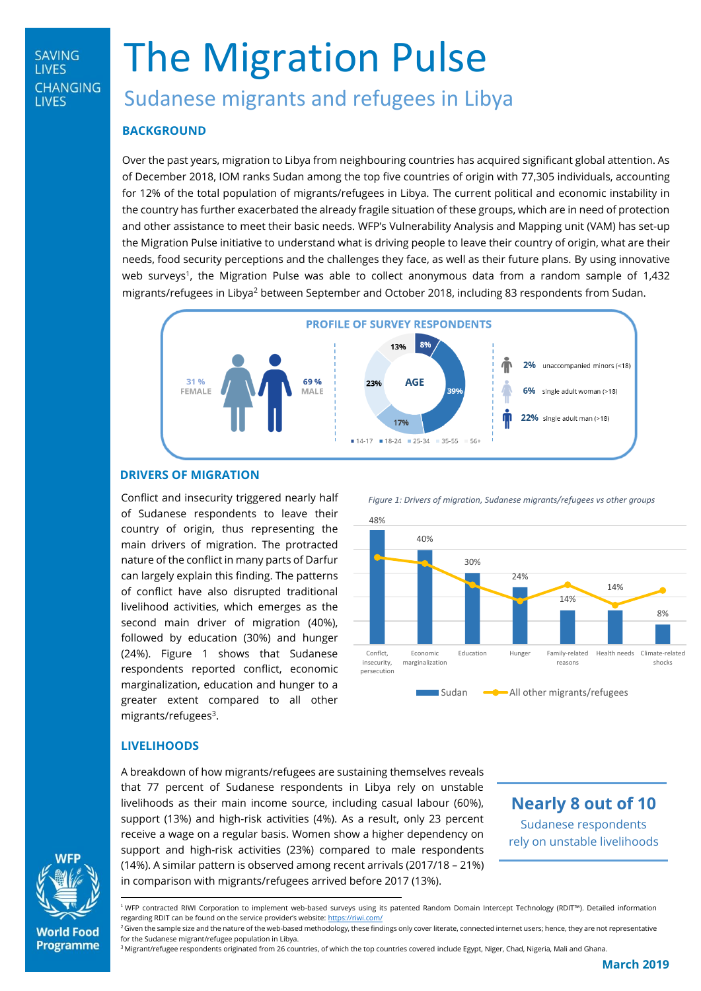# **SAVING LIVES CHANGING LIVES**

# The Migration Pulse

# Sudanese migrants and refugees in Libya

# **BACKGROUND**

Over the past years, migration to Libya from neighbouring countries has acquired significant global attention. As of December 2018, IOM ranks Sudan among the top five countries of origin with 77,305 individuals, accounting for 12% of the total population of migrants/refugees in Libya. The current political and economic instability in the country has further exacerbated the already fragile situation of these groups, which are in need of protection and other assistance to meet their basic needs. WFP's Vulnerability Analysis and Mapping unit (VAM) has set-up the Migration Pulse initiative to understand what is driving people to leave their country of origin, what are their needs, food security perceptions and the challenges they face, as well as their future plans. By using innovative web surveys<sup>1</sup>, the Migration Pulse was able to collect anonymous data from a random sample of 1,432 migrants/refugees in Libya<sup>2</sup> between September and October 2018, including 83 respondents from Sudan.



# **DRIVERS OF MIGRATION**

Conflict and insecurity triggered nearly half of Sudanese respondents to leave their country of origin, thus representing the main drivers of migration. The protracted nature of the conflict in many parts of Darfur can largely explain this finding. The patterns of conflict have also disrupted traditional livelihood activities, which emerges as the second main driver of migration (40%), followed by education (30%) and hunger (24%). Figure 1 shows that Sudanese respondents reported conflict, economic marginalization, education and hunger to a greater extent compared to all other migrants/refugees<sup>3</sup>.

 *Figure 1: Drivers of migration, Sudanese migrants/refugees vs other groups*



# **LIVELIHOODS**

A breakdown of how migrants/refugees are sustaining themselves reveals that 77 percent of Sudanese respondents in Libya rely on unstable livelihoods as their main income source, including casual labour (60%), support (13%) and high-risk activities (4%). As a result, only 23 percent receive a wage on a regular basis. Women show a higher dependency on support and high-risk activities (23%) compared to male respondents (14%). A similar pattern is observed among recent arrivals (2017/18 – 21%) in comparison with migrants/refugees arrived before 2017 (13%).

**Nearly 8 out of 10** Sudanese respondents rely on unstable livelihoods



**World Food Programme**  <sup>1</sup>WFP contracted RIWI Corporation to implement web-based surveys using its patented Random Domain Intercept Technology (RDIT™). Detailed information regarding RDIT can be found on the service provider's website: <https://riwi.com/>

<sup>3</sup> Migrant/refugee respondents originated from 26 countries, of which the top countries covered include Egypt, Niger, Chad, Nigeria, Mali and Ghana.

<sup>&</sup>lt;sup>2</sup> Given the sample size and the nature of the web-based methodology, these findings only cover literate, connected internet users; hence, they are not representative for the Sudanese migrant/refugee population in Libya.